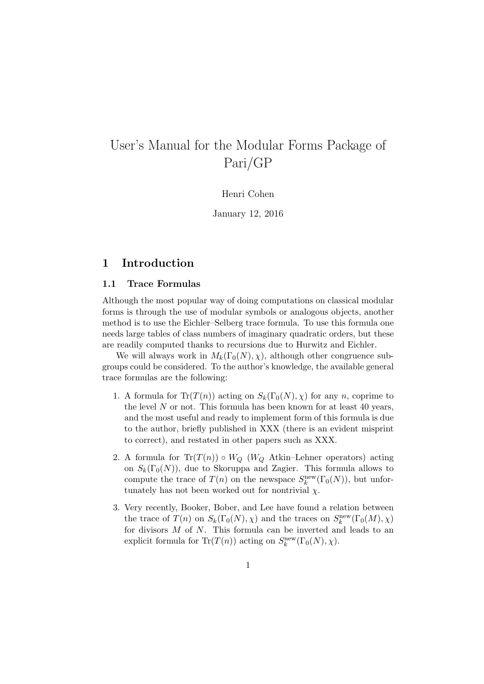# User's Manual for the Modular Forms Package of Pari/GP

Henri Cohen

January 12, 2016

# 1 Introduction

### 1.1 Trace Formulas

Although the most popular way of doing computations on classical modular forms is through the use of modular symbols or analogous objects, another method is to use the Eichler–Selberg trace formula. To use this formula one needs large tables of class numbers of imaginary quadratic orders, but these are readily computed thanks to recursions due to Hurwitz and Eichler.

We will always work in  $M_k(\Gamma_0(N), \chi)$ , although other congruence subgroups could be considered. To the author's knowledge, the available general trace formulas are the following:

- 1. A formula for  $\text{Tr}(T(n))$  acting on  $S_k(\Gamma_0(N), \chi)$  for any n, coprime to the level  $N$  or not. This formula has been known for at least 40 years, and the most useful and ready to implement form of this formula is due to the author, briefly published in XXX (there is an evident misprint to correct), and restated in other papers such as XXX.
- 2. A formula for  $Tr(T(n)) \circ W_Q$  ( $W_Q$  Atkin–Lehner operators) acting on  $S_k(\Gamma_0(N))$ , due to Skoruppa and Zagier. This formula allows to compute the trace of  $T(n)$  on the newspace  $S_k^{\text{new}}(\Gamma_0(N))$ , but unfortunately has not been worked out for nontrivial  $\chi$ .
- 3. Very recently, Booker, Bober, and Lee have found a relation between the trace of  $T(n)$  on  $S_k(\Gamma_0(N), \chi)$  and the traces on  $S_k^{\text{new}}(\Gamma_0(M), \chi)$ for divisors  $M$  of  $N$ . This formula can be inverted and leads to an explicit formula for  $\text{Tr}(T(n))$  acting on  $S_k^{\text{new}}(\Gamma_0(N), \chi)$ .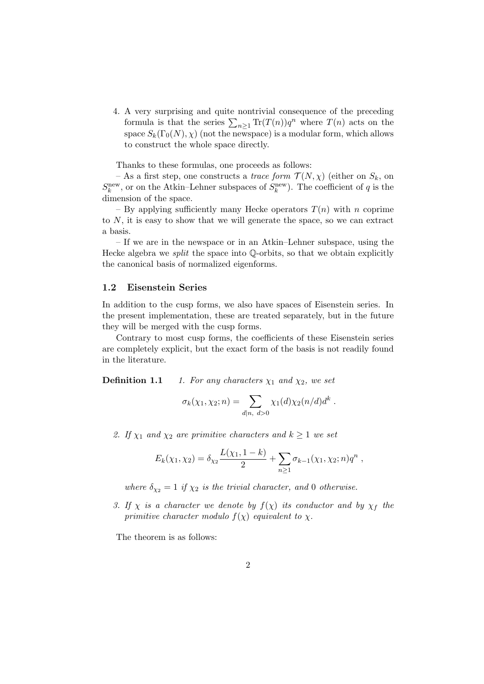4. A very surprising and quite nontrivial consequence of the preceding formula is that the series  $\sum_{n\geq 1} \text{Tr}(T(n))q^n$  where  $T(n)$  acts on the space  $S_k(\Gamma_0(N), \chi)$  (not the newspace) is a modular form, which allows to construct the whole space directly.

Thanks to these formulas, one proceeds as follows:

– As a first step, one constructs a *trace form*  $\mathcal{T}(N, \chi)$  (either on  $S_k$ , on  $S_k^{\text{new}}$ , or on the Atkin–Lehner subspaces of  $S_k^{\text{new}}$ ). The coefficient of q is the dimension of the space.

– By applying sufficiently many Hecke operators  $T(n)$  with n coprime to N, it is easy to show that we will generate the space, so we can extract a basis.

– If we are in the newspace or in an Atkin–Lehner subspace, using the Hecke algebra we split the space into Q-orbits, so that we obtain explicitly the canonical basis of normalized eigenforms.

#### 1.2 Eisenstein Series

In addition to the cusp forms, we also have spaces of Eisenstein series. In the present implementation, these are treated separately, but in the future they will be merged with the cusp forms.

Contrary to most cusp forms, the coefficients of these Eisenstein series are completely explicit, but the exact form of the basis is not readily found in the literature.

**Definition 1.1** 1. For any characters  $\chi_1$  and  $\chi_2$ , we set

$$
\sigma_k(\chi_1, \chi_2; n) = \sum_{d|n, d>0} \chi_1(d)\chi_2(n/d)d^k.
$$

2. If  $\chi_1$  and  $\chi_2$  are primitive characters and  $k \geq 1$  we set

$$
E_k(\chi_1, \chi_2) = \delta_{\chi_2} \frac{L(\chi_1, 1-k)}{2} + \sum_{n \geq 1} \sigma_{k-1}(\chi_1, \chi_2; n) q^n,
$$

where  $\delta_{\chi_2} = 1$  if  $\chi_2$  is the trivial character, and 0 otherwise.

3. If  $\chi$  is a character we denote by  $f(\chi)$  its conductor and by  $\chi_f$  the primitive character modulo  $f(\chi)$  equivalent to  $\chi$ .

The theorem is as follows: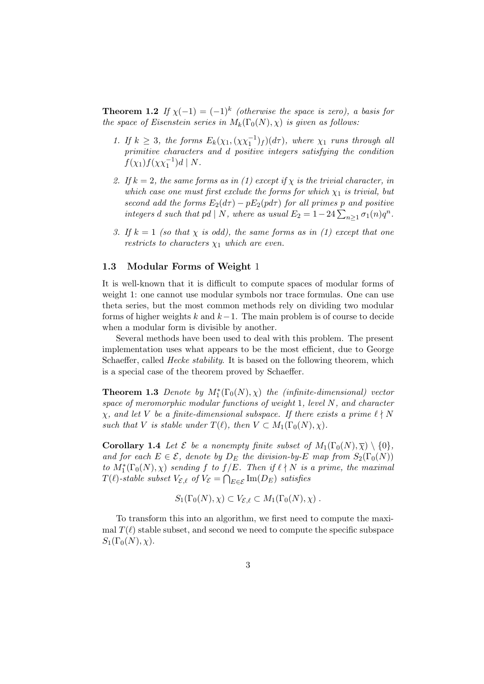**Theorem 1.2** If  $\chi(-1) = (-1)^k$  (otherwise the space is zero), a basis for the space of Eisenstein series in  $M_k(\Gamma_0(N), \chi)$  is given as follows:

- 1. If  $k \geq 3$ , the forms  $E_k(\chi_1, (\chi \chi_1^{-1})_f)(d\tau)$ , where  $\chi_1$  runs through all primitive characters and d positive integers satisfying the condition  $f(\chi_1) f(\chi \chi_1^{-1}) d \mid N.$
- 2. If  $k = 2$ , the same forms as in (1) except if  $\chi$  is the trivial character, in which case one must first exclude the forms for which  $\chi_1$  is trivial, but second add the forms  $E_2(d\tau) - pE_2(p d\tau)$  for all primes p and positive integers d such that pd | N, where as usual  $E_2 = 1 - 24 \sum_{n \geq 1} \sigma_1(n) q^n$ .
- 3. If  $k = 1$  (so that  $\chi$  is odd), the same forms as in (1) except that one restricts to characters  $\chi_1$  which are even.

### 1.3 Modular Forms of Weight 1

It is well-known that it is difficult to compute spaces of modular forms of weight 1: one cannot use modular symbols nor trace formulas. One can use theta series, but the most common methods rely on dividing two modular forms of higher weights k and  $k-1$ . The main problem is of course to decide when a modular form is divisible by another.

Several methods have been used to deal with this problem. The present implementation uses what appears to be the most efficient, due to George Schaeffer, called *Hecke stability*. It is based on the following theorem, which is a special case of the theorem proved by Schaeffer.

**Theorem 1.3** Denote by  $M_1^*(\Gamma_0(N), \chi)$  the (infinite-dimensional) vector space of meromorphic modular functions of weight  $1$ , level  $N$ , and character  $\chi$ , and let V be a finite-dimensional subspace. If there exists a prime  $\ell \nmid N$ such that V is stable under  $T(\ell)$ , then  $V \subset M_1(\Gamma_0(N), \chi)$ .

**Corollary 1.4** Let  $\mathcal{E}$  be a nonempty finite subset of  $M_1(\Gamma_0(N), \overline{\chi}) \setminus \{0\},$ and for each  $E \in \mathcal{E}$ , denote by  $D_E$  the division-by-E map from  $S_2(\Gamma_0(N))$ to  $M_1^*(\Gamma_0(N), \chi)$  sending f to  $f/E$ . Then if  $\ell \nmid N$  is a prime, the maximal  $T(\ell)$ -stable subset  $V_{\mathcal{E},\ell}$  of  $V_{\mathcal{E}} = \bigcap_{E \in \mathcal{E}} \text{Im}(D_E)$  satisfies

$$
S_1(\Gamma_0(N), \chi) \subset V_{\mathcal{E}, \ell} \subset M_1(\Gamma_0(N), \chi) .
$$

To transform this into an algorithm, we first need to compute the maximal  $T(\ell)$  stable subset, and second we need to compute the specific subspace  $S_1(\Gamma_0(N), \chi)$ .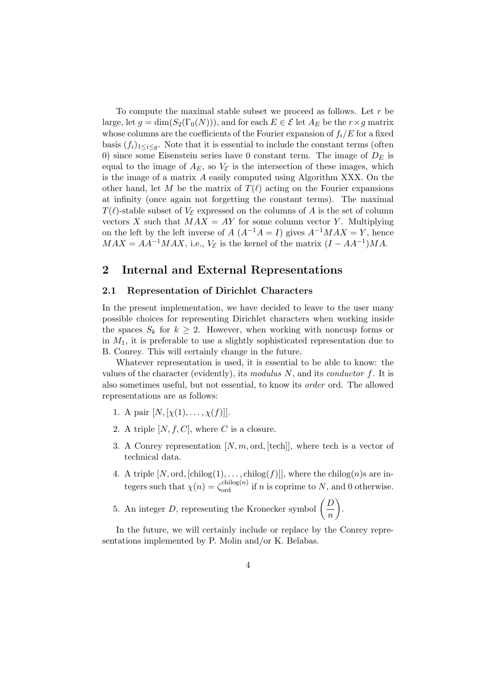To compute the maximal stable subset we proceed as follows. Let  $r$  be large, let  $g = \dim(S_2(\Gamma_0(N)))$ , and for each  $E \in \mathcal{E}$  let  $A_E$  be the  $r \times g$  matrix whose columns are the coefficients of the Fourier expansion of  $f_i/E$  for a fixed basis  $(f_i)_{1\leq i\leq q}$ . Note that it is essential to include the constant terms (often 0) since some Eisenstein series have 0 constant term. The image of  $D<sub>E</sub>$  is equal to the image of  $A_E$ , so  $V_{\mathcal{E}}$  is the intersection of these images, which is the image of a matrix A easily computed using Algorithm XXX. On the other hand, let M be the matrix of  $T(\ell)$  acting on the Fourier expansions at infinity (once again not forgetting the constant terms). The maximal  $T(\ell)$ -stable subset of  $V_{\mathcal{E}}$  expressed on the columns of A is the set of column vectors X such that  $MAX = AY$  for some column vector Y. Multiplying on the left by the left inverse of  $A(A^{-1}A = I)$  gives  $A^{-1}MAX = Y$ , hence  $MAX = AA^{-1}MAX$ , i.e.,  $V_{\mathcal{E}}$  is the kernel of the matrix  $(I - AA^{-1})MA$ .

## 2 Internal and External Representations

### 2.1 Representation of Dirichlet Characters

In the present implementation, we have decided to leave to the user many possible choices for representing Dirichlet characters when working inside the spaces  $S_k$  for  $k \geq 2$ . However, when working with noncusp forms or in  $M_1$ , it is preferable to use a slightly sophisticated representation due to B. Conrey. This will certainly change in the future.

Whatever representation is used, it is essential to be able to know: the values of the character (evidently), its modulus  $N$ , and its conductor  $f$ . It is also sometimes useful, but not essential, to know its order ord. The allowed representations are as follows:

- 1. A pair  $[N, [\chi(1), \ldots, \chi(f)]].$
- 2. A triple  $[N, f, C]$ , where C is a closure.
- 3. A Conrey representation  $[N, m, \text{ord}, [\text{tech}]]$ , where tech is a vector of technical data.
- 4. A triple  $[N, \text{ord}, [\text{chilog}(1), \ldots, \text{chilog}(f)]]$ , where the chilog $(n)$ s are integers such that  $\chi(n) = \zeta_{\text{ord}}^{\text{chilog}(n)}$  if n is coprime to N, and 0 otherwise.
- 5. An integer D, representing the Kronecker symbol  $\left(\frac{D}{D}\right)$ n .

In the future, we will certainly include or replace by the Conrey representations implemented by P. Molin and/or K. Belabas.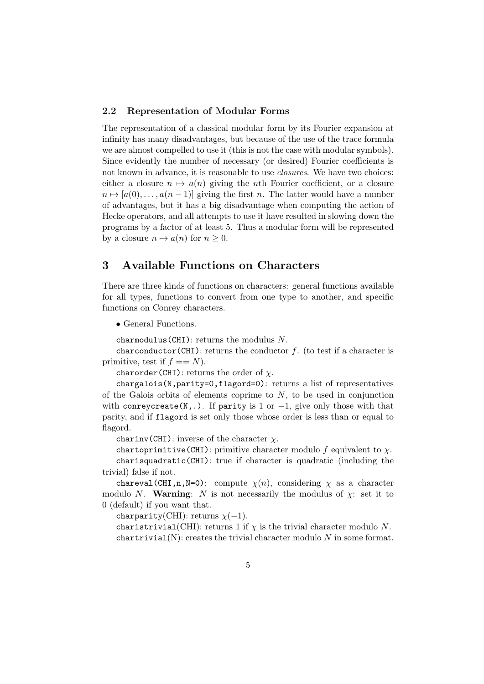### 2.2 Representation of Modular Forms

The representation of a classical modular form by its Fourier expansion at infinity has many disadvantages, but because of the use of the trace formula we are almost compelled to use it (this is not the case with modular symbols). Since evidently the number of necessary (or desired) Fourier coefficients is not known in advance, it is reasonable to use closures. We have two choices: either a closure  $n \mapsto a(n)$  giving the nth Fourier coefficient, or a closure  $n \mapsto [a(0), \ldots, a(n-1)]$  giving the first n. The latter would have a number of advantages, but it has a big disadvantage when computing the action of Hecke operators, and all attempts to use it have resulted in slowing down the programs by a factor of at least 5. Thus a modular form will be represented by a closure  $n \mapsto a(n)$  for  $n \geq 0$ .

# 3 Available Functions on Characters

There are three kinds of functions on characters: general functions available for all types, functions to convert from one type to another, and specific functions on Conrey characters.

• General Functions.

charmodulus (CHI): returns the modulus  $N$ .

charconductor(CHI): returns the conductor  $f$ . (to test if a character is primitive, test if  $f == N$ .

charorder(CHI): returns the order of  $\chi$ .

chargalois(N,parity=0,flagord=0): returns a list of representatives of the Galois orbits of elements coprime to  $N$ , to be used in conjunction with conreycreate(N,.). If parity is 1 or  $-1$ , give only those with that parity, and if flagord is set only those whose order is less than or equal to flagord.

charinv(CHI): inverse of the character  $\chi$ .

chartoprimitive(CHI): primitive character modulo f equivalent to  $\chi$ . charisquadratic(CHI): true if character is quadratic (including the trivial) false if not.

chareval (CHI,n,N=0): compute  $\chi(n)$ , considering  $\chi$  as a character modulo N. Warning: N is not necessarily the modulus of  $\chi$ : set it to 0 (default) if you want that.

charparity(CHI): returns  $\chi(-1)$ .

charistrivial(CHI): returns 1 if  $\chi$  is the trivial character modulo N. chartrivial(N): creates the trivial character modulo  $N$  in some format.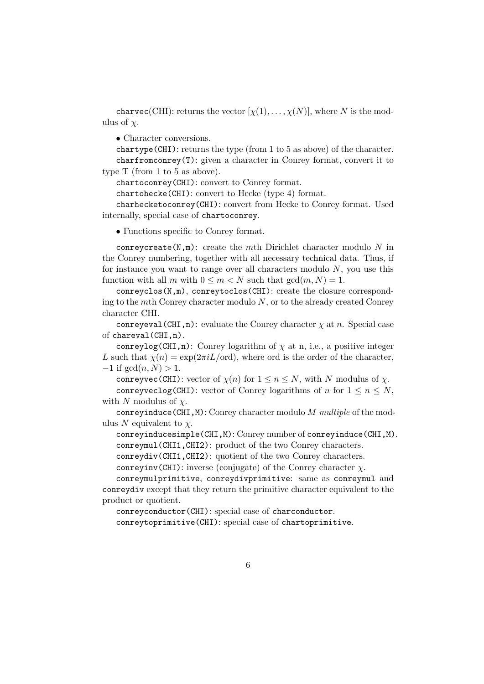charvec(CHI): returns the vector  $[\chi(1), \ldots, \chi(N)]$ , where N is the modulus of  $\chi$ .

• Character conversions.

chartype(CHI): returns the type (from 1 to 5 as above) of the character. charfromconrey(T): given a character in Conrey format, convert it to type T (from 1 to 5 as above).

chartoconrey(CHI): convert to Conrey format.

chartohecke(CHI): convert to Hecke (type 4) format.

charhecketoconrey(CHI): convert from Hecke to Conrey format. Used internally, special case of chartoconrey.

• Functions specific to Conrey format.

conreycreate(N,m): create the mth Dirichlet character modulo  $N$  in the Conrey numbering, together with all necessary technical data. Thus, if for instance you want to range over all characters modulo  $N$ , you use this function with all m with  $0 \le m \le N$  such that  $gcd(m, N) = 1$ .

conreyclos(N,m), conreytoclos(CHI): create the closure corresponding to the mth Conrey character modulo  $N$ , or to the already created Conrey character CHI.

conreyeval (CHI,n): evaluate the Conrey character  $\chi$  at n. Special case of chareval(CHI,n).

conreylog(CHI,n): Conrey logarithm of  $\chi$  at n, i.e., a positive integer L such that  $\chi(n) = \exp(2\pi i L / \text{ord})$ , where ord is the order of the character,  $-1$  if  $gcd(n, N) > 1$ .

conreyvec (CHI): vector of  $\chi(n)$  for  $1 \leq n \leq N$ , with N modulus of  $\chi$ . conreyveclog(CHI): vector of Conrey logarithms of n for  $1 \le n \le N$ , with N modulus of  $\chi$ .

conreyinduce(CHI, M): Conrey character modulo  $M$  multiple of the modulus N equivalent to  $\chi$ .

conreyinducesimple(CHI,M): Conrey number of conreyinduce(CHI,M). conreymul(CHI1,CHI2): product of the two Conrey characters.

conreydiv(CHI1,CHI2): quotient of the two Conrey characters.

conreyinv(CHI): inverse (conjugate) of the Conrey character  $\chi$ .

conreymulprimitive, conreydivprimitive: same as conreymul and conreydiv except that they return the primitive character equivalent to the product or quotient.

conreyconductor(CHI): special case of charconductor. conreytoprimitive(CHI): special case of chartoprimitive.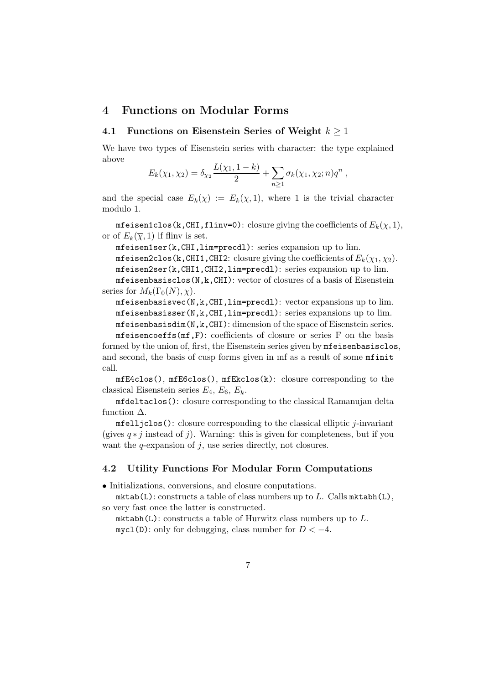## 4 Functions on Modular Forms

### 4.1 Functions on Eisenstein Series of Weight  $k \geq 1$

We have two types of Eisenstein series with character: the type explained above

$$
E_k(\chi_1, \chi_2) = \delta_{\chi_2} \frac{L(\chi_1, 1-k)}{2} + \sum_{n \geq 1} \sigma_k(\chi_1, \chi_2; n) q^n,
$$

and the special case  $E_k(\chi) := E_k(\chi, 1)$ , where 1 is the trivial character modulo 1.

mfeisen1clos(k,CHI,flinv=0): closure giving the coefficients of  $E_k(\chi,1),$ or of  $E_k(\bar{\chi}, 1)$  if fliny is set.

mfeisen1ser(k,CHI,lim=precdl): series expansion up to lim.

mfeisen2clos(k,CHI1,CHI2: closure giving the coefficients of  $E_k(\chi_1, \chi_2)$ . mfeisen2ser(k,CHI1,CHI2,lim=precdl): series expansion up to lim. mfeisenbasisclos(N,k,CHI): vector of closures of a basis of Eisenstein series for  $M_k(\Gamma_0(N), \chi)$ .

mfeisenbasisvec(N,k,CHI,lim=precdl): vector expansions up to lim. mfeisenbasisser(N,k,CHI,lim=precdl): series expansions up to lim. mfeisenbasisdim(N,k,CHI): dimension of the space of Eisenstein series.

mfeisencoeffs(mf,F): coefficients of closure or series F on the basis formed by the union of, first, the Eisenstein series given by mfeisenbasisclos, and second, the basis of cusp forms given in mf as a result of some mfinit call.

mfE4clos(), mfE6clos(), mfEkclos(k): closure corresponding to the classical Eisenstein series  $E_4, E_6, E_k$ .

mfdeltaclos(): closure corresponding to the classical Ramanujan delta function  $\Delta$ .

 $m$ felljclos(): closure corresponding to the classical elliptic *j*-invariant (gives  $q * j$  instead of j). Warning: this is given for completeness, but if you want the  $q$ -expansion of  $j$ , use series directly, not closures.

### 4.2 Utility Functions For Modular Form Computations

• Initializations, conversions, and closure conputations.

 $mktab(L)$ : constructs a table of class numbers up to L. Calls  $mktabh(L)$ , so very fast once the latter is constructed.

 $m$ ktabh(L): constructs a table of Hurwitz class numbers up to  $L$ .  $mycl(D)$ : only for debugging, class number for  $D < -4$ .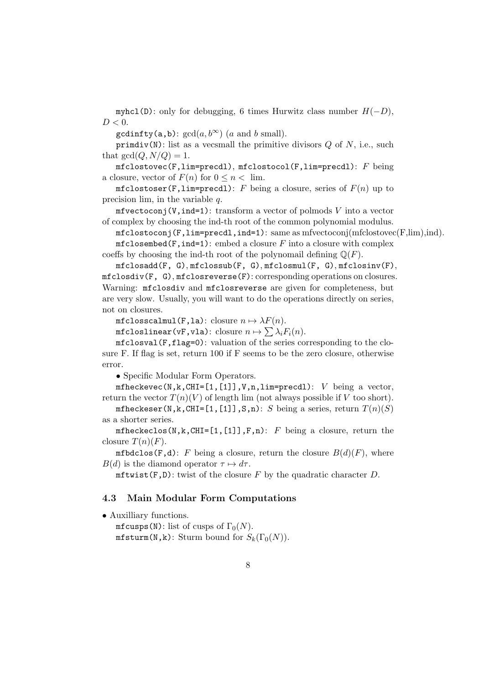myhcl(D): only for debugging, 6 times Hurwitz class number  $H(-D)$ ,  $D < 0$ .

 $\text{gcdinfty}(a, b)$ :  $\text{gcd}(a, b^{\infty})$  (a and b small).

primdiv(N): list as a vecsmall the primitive divisors  $Q$  of  $N$ , i.e., such that  $gcd(Q, N/Q) = 1$ .

 $mfclosure(F, lim=pred1)$ ,  $mfclosec1(F, lim=pred1)$ :  $F$  being a closure, vector of  $F(n)$  for  $0 \leq n < \lim$ .

mfclostoser(F,lim=precdl): F being a closure, series of  $F(n)$  up to precision lim, in the variable  $q$ .

 $m$ fvectoconj(V,ind=1): transform a vector of polmods V into a vector of complex by choosing the ind-th root of the common polynomial modulus.

 $m$ fclostoconj(F,lim=precdl,ind=1): same as mfvectoconj(mfclostovec(F,lim),ind).

 $mfclosemed(F,ind=1): embed a closure F into a closure with complex$ coeffs by choosing the ind-th root of the polynomail defining  $\mathbb{Q}(F)$ .

mfclosadd(F, G), mfclossub(F, G), mfclosmul(F, G), mfclosinv(F), mfclosdiv(F, G), mfclosreverse(F): corresponding operations on closures. Warning: mfclosdiv and mfclosreverse are given for completeness, but are very slow. Usually, you will want to do the operations directly on series, not on closures.

mfclosscalmul(F,la): closure  $n \mapsto \lambda F(n)$ .

 ${\tt mfcloslinear(vF, vla):}$  closure  $n\mapsto \sum \lambda_i F_i(n).$ 

mfclosval(F,flag=0): valuation of the series corresponding to the closure F. If flag is set, return 100 if F seems to be the zero closure, otherwise error.

• Specific Modular Form Operators.

mfheckevec(N,k,CHI=[1,[1]],V,n,lim=precdl):  $V$  being a vector, return the vector  $T(n)(V)$  of length lim (not always possible if V too short).

mfheckeser(N,k,CHI=[1,[1]],S,n): S being a series, return  $T(n)(S)$ as a shorter series.

mfheckeclos(N,k,CHI=[1,[1]],F,n):  $F$  being a closure, return the closure  $T(n)(F)$ .

mfbdclos(F,d): F being a closure, return the closure  $B(d)(F)$ , where  $B(d)$  is the diamond operator  $\tau \mapsto d\tau$ .

 $m$ ftwist(F,D): twist of the closure F by the quadratic character D.

#### 4.3 Main Modular Form Computations

• Auxilliary functions.

mfcusps(N): list of cusps of  $\Gamma_0(N)$ .  $m$ fsturm(N,k): Sturm bound for  $S_k(\Gamma_0(N))$ .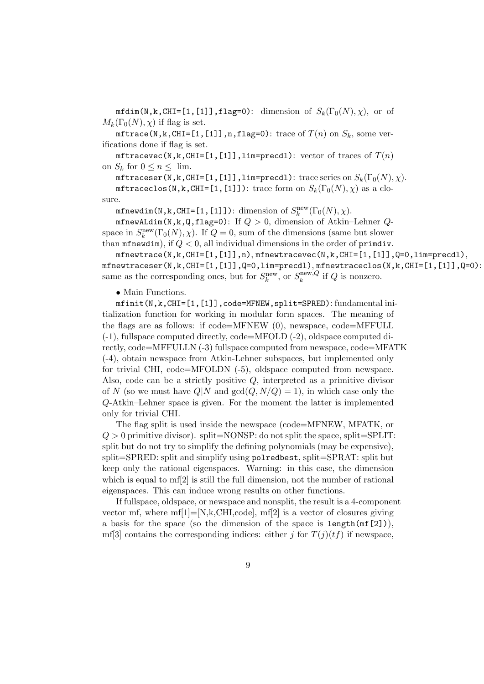$mfdim(N,k,CHI=[1,[1]],flag=0):$  dimension of  $S_k(\Gamma_0(N),\chi)$ , or of  $M_k(\Gamma_0(N), \chi)$  if flag is set.

mftrace(N,k,CHI=[1,[1]],n,flag=0): trace of  $T(n)$  on  $S_k$ , some verifications done if flag is set.

mftracevec(N,k,CHI=[1,[1]],lim=precdl): vector of traces of  $T(n)$ on  $S_k$  for  $0 \leq n \leq \lim$ .

mftraceser(N,k,CHI=[1,[1]],lim=precdl): trace series on  $S_k(\Gamma_0(N), \chi)$ .

mftraceclos(N,k,CHI=[1,[1]]): trace form on  $S_k(\Gamma_0(N),\chi)$  as a closure.

mfnewdim(N,k,CHI=[1,[1]]): dimension of  $S_k^{\rm new}(\Gamma_0(N),\chi)$ .

mfnewALdim(N,k,Q,flag=0): If  $Q > 0$ , dimension of Atkin-Lehner  $Q$ space in  $S_k^{\text{new}}(\Gamma_0(N), \chi)$ . If  $Q = 0$ , sum of the dimensions (same but slower than  $m$ fnewdim), if  $Q < 0$ , all individual dimensions in the order of primdiv.

 $m$ fnewtrace(N,k,CHI=[1,[1]],n),  $m$ fnewtracevec(N,k,CHI=[1,[1]],Q=0,lim=precdl), mfnewtraceser(N,k,CHI= $[1,[1]]$ ,Q=0,lim=precdl), mfnewtraceclos(N,k,CHI= $[1,[1]]$ ,Q=0): same as the corresponding ones, but for  $S_k^{\text{new}},$  or  $S_k^{\text{new},Q}$  $\sum_{k}^{\text{new}, Q}$  if Q is nonzero.

• Main Functions.

mfinit(N,k,CHI=[1,[1]],code=MFNEW,split=SPRED): fundamental initialization function for working in modular form spaces. The meaning of the flags are as follows: if code=MFNEW (0), newspace, code=MFFULL (-1), fullspace computed directly, code=MFOLD (-2), oldspace computed directly, code=MFFULLN (-3) fullspace computed from newspace, code=MFATK (-4), obtain newspace from Atkin-Lehner subspaces, but implemented only for trivial CHI, code=MFOLDN (-5), oldspace computed from newspace. Also, code can be a strictly positive  $Q$ , interpreted as a primitive divisor of N (so we must have  $Q|N$  and  $gcd(Q, N/Q) = 1$ ), in which case only the Q-Atkin–Lehner space is given. For the moment the latter is implemented only for trivial CHI.

The flag split is used inside the newspace (code=MFNEW, MFATK, or  $Q > 0$  primitive divisor). split=NONSP: do not split the space, split=SPLIT: split but do not try to simplify the defining polynomials (may be expensive), split=SPRED: split and simplify using polredbest, split=SPRAT: split but keep only the rational eigenspaces. Warning: in this case, the dimension which is equal to mf<sup>[2]</sup> is still the full dimension, not the number of rational eigenspaces. This can induce wrong results on other functions.

If fullspace, oldspace, or newspace and nonsplit, the result is a 4-component vector mf, where  $mf[1] = [N,k,CHI, code]$ ,  $mf[2]$  is a vector of closures giving a basis for the space (so the dimension of the space is  $\text{length}(\text{mf}[2]),$ mf[3] contains the corresponding indices: either j for  $T(j)(tf)$  if newspace,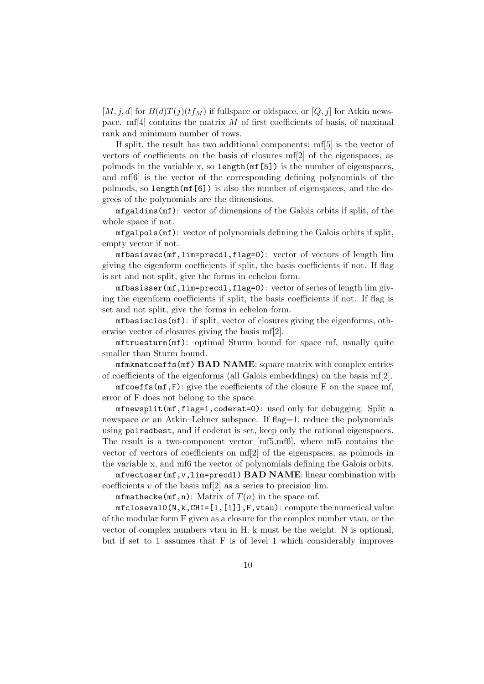$[M, j, d]$  for  $B(d)T(j)(tf_M)$  if fullspace or oldspace, or  $[Q, j]$  for Atkin newspace. mf<sup>[4]</sup> contains the matrix  $M$  of first coefficients of basis, of maximal rank and minimum number of rows.

If split, the result has two additional components: mf[5] is the vector of vectors of coefficients on the basis of closures mf[2] of the eigenspaces, as polmods in the variable x, so length(mf[5]) is the number of eigenspaces, and mf[6] is the vector of the corresponding defining polynomials of the polmods, so length(mf[6]) is also the number of eigenspaces, and the degrees of the polynomials are the dimensions.

mfgaldims(mf): vector of dimensions of the Galois orbits if split, of the whole space if not.

mfgalpols(mf): vector of polynomials defining the Galois orbits if split, empty vector if not.

mfbasisvec(mf,lim=precdl,flag=0): vector of vectors of length lim giving the eigenform coefficients if split, the basis coefficients if not. If flag is set and not split, give the forms in echelon form.

mfbasisser(mf,lim=precdl,flag=0): vector of series of length lim giving the eigenform coefficients if split, the basis coefficients if not. If flag is set and not split, give the forms in echelon form.

mfbasisclos(mf): if split, vector of closures giving the eigenforms, otherwise vector of closures giving the basis mf[2].

mftruesturm(mf): optimal Sturm bound for space mf, usually quite smaller than Sturm bound.

 $mfnkmatcoeffs(mf) BAD NAME: square matrix with complex entries$ of coefficients of the eigenforms (all Galois embeddings) on the basis mf[2].

mfcoeffs( $(f, F)$ : give the coefficients of the closure F on the space mf, error of F does not belong to the space.

mfnewsplit(mf,flag=1,coderat=0): used only for debugging. Split a newspace or an Atkin–Lehner subspace. If flag=1, reduce the polynomials using polredbest, and if coderat is set, keep only the rational eigenspaces. The result is a two-component vector [mf5,mf6], where mf5 contains the vector of vectors of coefficients on mf[2] of the eigenspaces, as polmods in the variable x, and mf6 the vector of polynomials defining the Galois orbits.

 $m$ fvectoser( $m$ f,v,lim=precdl)  $BAD NAME$ : linear combination with coefficients  $v$  of the basis mf<sup>[2]</sup> as a series to precision lim.

mfmathecke(mf,n): Matrix of  $T(n)$  in the space mf.

 $m$ fcloseval $0(N,k,CHI=[1,[1]],F,vtau):$  compute the numerical value of the modular form F given as a closure for the complex number vtau, or the vector of complex numbers vtau in H. k must be the weight. N is optional, but if set to 1 assumes that F is of level 1 which considerably improves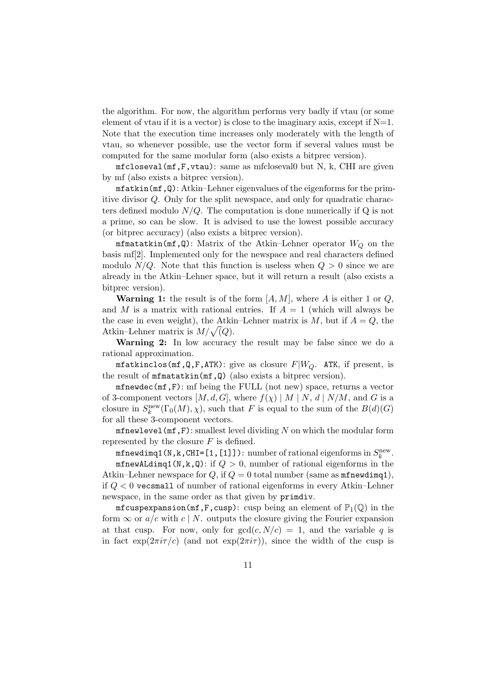the algorithm. For now, the algorithm performs very badly if vtau (or some element of vtau if it is a vector) is close to the imaginary axis, except if  $N=1$ . Note that the execution time increases only moderately with the length of vtau, so whenever possible, use the vector form if several values must be computed for the same modular form (also exists a bitprec version).

mfcloseval(mf,F,vtau): same as mfcloseval0 but N, k, CHI are given by mf (also exists a bitprec version).

 $m$ fatkin( $m$ f, $Q$ ): Atkin–Lehner eigenvalues of the eigenforms for the primitive divisor Q. Only for the split newspace, and only for quadratic characters defined modulo  $N/Q$ . The computation is done numerically if Q is not a prime, so can be slow. It is advised to use the lowest possible accuracy (or bitprec accuracy) (also exists a bitprec version).

mfmatatkin(mf,Q): Matrix of the Atkin–Lehner operator  $W_Q$  on the basis mf[2]. Implemented only for the newspace and real characters defined modulo  $N/Q$ . Note that this function is useless when  $Q > 0$  since we are already in the Atkin–Lehner space, but it will return a result (also exists a bitprec version).

**Warning 1:** the result is of the form  $[A, M]$ , where A is either 1 or Q, and M is a matrix with rational entries. If  $A = 1$  (which will always be the case in even weight), the Atkin–Lehner matrix is  $M$ , but if  $A = Q$ , the Atkin–Lehner matrix is  $M/\sqrt{Q}$ .

Warning 2: In low accuracy the result may be false since we do a rational approximation.

mfatkinclos(mf,Q,F,ATK): give as closure  $F|W_Q$ . ATK, if present, is the result of mfmatatkin(mf,Q) (also exists a bitprec version).

mfnewdec( $mf, F$ ): mf being the FULL (not new) space, returns a vector of 3-component vectors  $[M, d, G]$ , where  $f(\chi) | M | N, d | N/M$ , and G is a closure in  $S_k^{\text{new}}(\Gamma_0(M), \chi)$ , such that F is equal to the sum of the  $B(d)(G)$ for all these 3-component vectors.

 $m$ fnewlevel( $m$ f,F): smallest level dividing N on which the modular form represented by the closure  $F$  is defined.

 $m$ fnewdimq1(N,k,CHI=[1,[1]]): number of rational eigenforms in  $S_k^{\rm new}$ . mfnewALdimq1(N,k,Q): if  $Q > 0$ , number of rational eigenforms in the Atkin–Lehner newspace for Q, if  $Q = 0$  total number (same as  $m$ fnewdimq1), if  $Q < 0$  vecsmall of number of rational eigenforms in every Atkin–Lehner newspace, in the same order as that given by primdiv.

mfcuspexpansion(mf,F,cusp): cusp being an element of  $\mathbb{P}_1(\mathbb{Q})$  in the form  $\infty$  or  $a/c$  with c | N. outputs the closure giving the Fourier expansion at that cusp. For now, only for  $gcd(c, N/c) = 1$ , and the variable q is in fact  $\exp(2\pi i \tau/c)$  (and not  $\exp(2\pi i \tau)$ ), since the width of the cusp is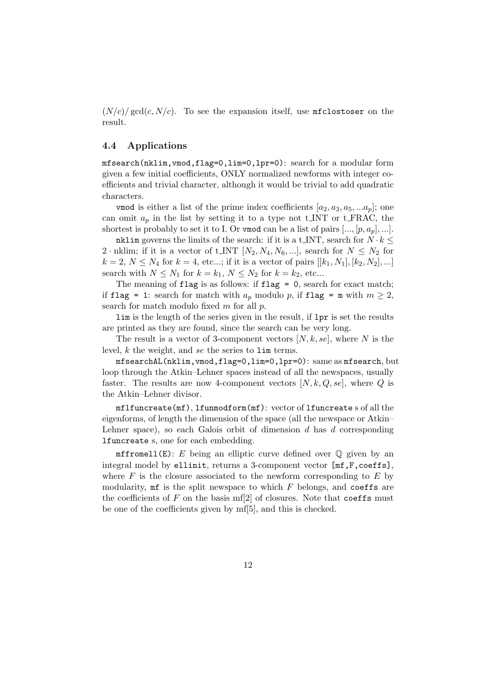$(N/c)/\text{gcd}(c, N/c)$ . To see the expansion itself, use mfclostoser on the result.

### 4.4 Applications

mfsearch(nklim,vmod,flag=0,lim=0,lpr=0): search for a modular form given a few initial coefficients, ONLY normalized newforms with integer coefficients and trivial character, although it would be trivial to add quadratic characters.

vmod is either a list of the prime index coefficients  $[a_2, a_3, a_5, ... a_p]$ ; one can omit  $a_p$  in the list by setting it to a type not t\_INT or t\_FRAC, the shortest is probably to set it to I. Or vmod can be a list of pairs  $[\ldots, [p, a_p], \ldots]$ .

nklim governs the limits of the search: if it is a t\_INT, search for  $N \cdot k \leq$ 2 · nklim; if it is a vector of t INT  $[N_2, N_4, N_6, \ldots]$ , search for  $N \leq N_2$  for  $k = 2, N \leq N_4$  for  $k = 4$ , etc...; if it is a vector of pairs  $[[k_1, N_1], [k_2, N_2],...]$ search with  $N \leq N_1$  for  $k = k_1, N \leq N_2$  for  $k = k_2$ , etc...

The meaning of flag is as follows: if flag =  $0$ , search for exact match; if flag = 1: search for match with  $a_p$  modulo p, if flag = m with  $m \geq 2$ , search for match modulo fixed  $m$  for all  $p$ .

lim is the length of the series given in the result, if lpr is set the results are printed as they are found, since the search can be very long.

The result is a vector of 3-component vectors  $[N, k, s e]$ , where N is the level, k the weight, and se the series to lim terms.

mfsearchAL(nklim,vmod,flag=0,lim=0,lpr=0): same as mfsearch, but loop through the Atkin–Lehner spaces instead of all the newspaces, usually faster. The results are now 4-component vectors  $[N, k, Q, \text{se}]$ , where Q is the Atkin–Lehner divisor.

mflfuncreate(mf), lfunmodform(mf): vector of lfuncreate s of all the eigenforms, of length the dimension of the space (all the newspace or Atkin– Lehner space), so each Galois orbit of dimension  $d$  has  $d$  corresponding lfuncreate s, one for each embedding.

 $m$ ffromell(E): E being an elliptic curve defined over  $\mathbb Q$  given by an integral model by ellinit, returns a 3-component vector [mf,F,coeffs], where  $F$  is the closure associated to the newform corresponding to  $E$  by modularity,  $\pi f$  is the split newspace to which  $F$  belongs, and coeffs are the coefficients of  $F$  on the basis mf[2] of closures. Note that coeffs must be one of the coefficients given by mf[5], and this is checked.